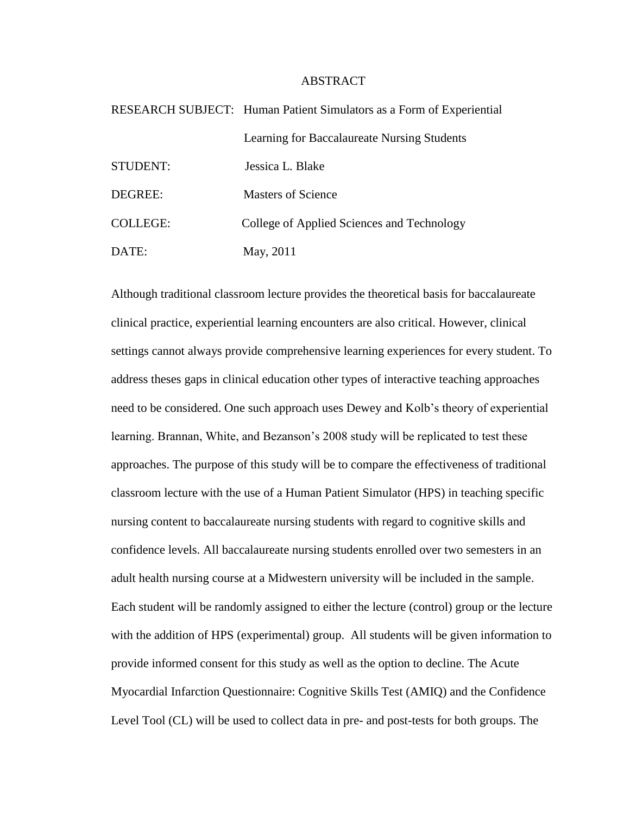## ABSTRACT

|                 | RESEARCH SUBJECT: Human Patient Simulators as a Form of Experiential |
|-----------------|----------------------------------------------------------------------|
|                 | Learning for Baccalaureate Nursing Students                          |
| STUDENT:        | Jessica L. Blake                                                     |
| DEGREE:         | <b>Masters of Science</b>                                            |
| <b>COLLEGE:</b> | College of Applied Sciences and Technology                           |
| DATE:           | May, 2011                                                            |

Although traditional classroom lecture provides the theoretical basis for baccalaureate clinical practice, experiential learning encounters are also critical. However, clinical settings cannot always provide comprehensive learning experiences for every student. To address theses gaps in clinical education other types of interactive teaching approaches need to be considered. One such approach uses Dewey and Kolb's theory of experiential learning. Brannan, White, and Bezanson's 2008 study will be replicated to test these approaches. The purpose of this study will be to compare the effectiveness of traditional classroom lecture with the use of a Human Patient Simulator (HPS) in teaching specific nursing content to baccalaureate nursing students with regard to cognitive skills and confidence levels. All baccalaureate nursing students enrolled over two semesters in an adult health nursing course at a Midwestern university will be included in the sample. Each student will be randomly assigned to either the lecture (control) group or the lecture with the addition of HPS (experimental) group. All students will be given information to provide informed consent for this study as well as the option to decline. The Acute Myocardial Infarction Questionnaire: Cognitive Skills Test (AMIQ) and the Confidence Level Tool (CL) will be used to collect data in pre- and post-tests for both groups. The